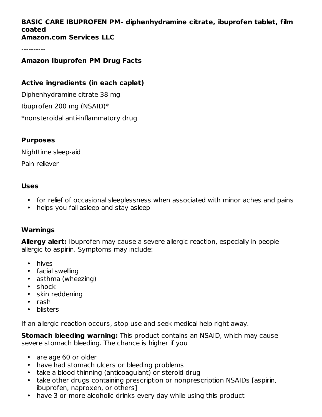#### **BASIC CARE IBUPROFEN PM- diphenhydramine citrate, ibuprofen tablet, film coated Amazon.com Services LLC**

----------

### **Amazon Ibuprofen PM Drug Facts**

#### **Active ingredients (in each caplet)**

Diphenhydramine citrate 38 mg Ibuprofen 200 mg (NSAID)\* \*nonsteroidal anti-inflammatory drug

#### **Purposes**

Nighttime sleep-aid

Pain reliever

#### **Uses**

- for relief of occasional sleeplessness when associated with minor aches and pains
- helps you fall asleep and stay asleep

#### **Warnings**

**Allergy alert:** Ibuprofen may cause a severe allergic reaction, especially in people allergic to aspirin. Symptoms may include:

- hives
- facial swelling
- asthma (wheezing)
- shock
- skin reddening
- rash
- blisters

If an allergic reaction occurs, stop use and seek medical help right away.

**Stomach bleeding warning:** This product contains an NSAID, which may cause severe stomach bleeding. The chance is higher if you

- are age 60 or older
- have had stomach ulcers or bleeding problems
- take a blood thinning (anticoagulant) or steroid drug
- take other drugs containing prescription or nonprescription NSAIDs [aspirin, ibuprofen, naproxen, or others]
- have 3 or more alcoholic drinks every day while using this product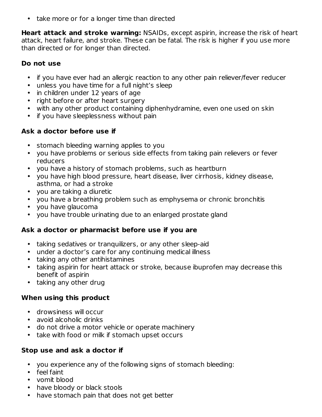• take more or for a longer time than directed

**Heart attack and stroke warning:** NSAIDs, except aspirin, increase the risk of heart attack, heart failure, and stroke. These can be fatal. The risk is higher if you use more than directed or for longer than directed.

### **Do not use**

- if you have ever had an allergic reaction to any other pain reliever/fever reducer
- unless you have time for a full night's sleep
- in children under 12 years of age
- right before or after heart surgery
- with any other product containing diphenhydramine, even one used on skin
- if you have sleeplessness without pain

### **Ask a doctor before use if**

- stomach bleeding warning applies to you
- you have problems or serious side effects from taking pain relievers or fever reducers
- you have a history of stomach problems, such as heartburn
- you have high blood pressure, heart disease, liver cirrhosis, kidney disease, asthma, or had a stroke
- you are taking a diuretic
- you have a breathing problem such as emphysema or chronic bronchitis
- you have glaucoma
- you have trouble urinating due to an enlarged prostate gland

### **Ask a doctor or pharmacist before use if you are**

- taking sedatives or tranquilizers, or any other sleep-aid
- under a doctor's care for any continuing medical illness
- taking any other antihistamines
- taking aspirin for heart attack or stroke, because ibuprofen may decrease this benefit of aspirin
- taking any other drug

# **When using this product**

- drowsiness will occur
- avoid alcoholic drinks
- do not drive a motor vehicle or operate machinery
- take with food or milk if stomach upset occurs

### **Stop use and ask a doctor if**

- you experience any of the following signs of stomach bleeding:
- feel faint
- vomit blood
- have bloody or black stools
- have stomach pain that does not get better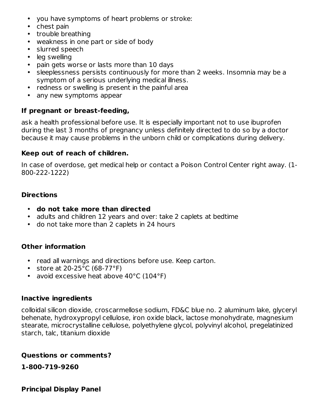- you have symptoms of heart problems or stroke:
- chest pain
- trouble breathing
- weakness in one part or side of body
- slurred speech
- leg swelling
- pain gets worse or lasts more than 10 days
- sleeplessness persists continuously for more than 2 weeks. Insomnia may be a symptom of a serious underlying medical illness.
- redness or swelling is present in the painful area
- any new symptoms appear

# **If pregnant or breast-feeding,**

ask a health professional before use. It is especially important not to use ibuprofen during the last 3 months of pregnancy unless definitely directed to do so by a doctor because it may cause problems in the unborn child or complications during delivery.

## **Keep out of reach of children.**

In case of overdose, get medical help or contact a Poison Control Center right away. (1- 800-222-1222)

## **Directions**

- **do not take more than directed**
- adults and children 12 years and over: take 2 caplets at bedtime
- do not take more than 2 caplets in 24 hours

# **Other information**

- read all warnings and directions before use. Keep carton.
- store at 20-25°C (68-77°F)
- avoid excessive heat above 40°C (104°F)

# **Inactive ingredients**

colloidal silicon dioxide, croscarmellose sodium, FD&C blue no. 2 aluminum lake, glyceryl behenate, hydroxypropyl cellulose, iron oxide black, lactose monohydrate, magnesium stearate, microcrystalline cellulose, polyethylene glycol, polyvinyl alcohol, pregelatinized starch, talc, titanium dioxide

# **Questions or comments?**

**1-800-719-9260**

# **Principal Display Panel**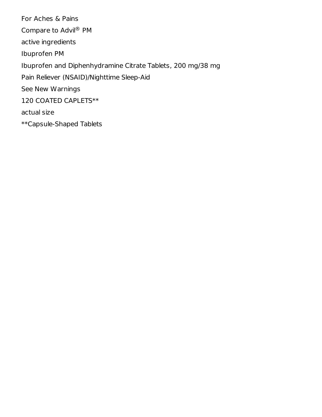For Aches & Pains Compare to Advil $^\circledR$  PM active ingredients Ibuprofen PM Ibuprofen and Diphenhydramine Citrate Tablets, 200 mg/38 mg Pain Reliever (NSAID)/Nighttime Sleep-Aid See New Warnings 120 COATED CAPLETS\*\* actual size \*\*Capsule-Shaped Tablets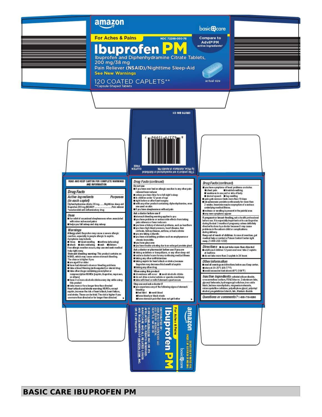# **BASIC CARE IBUPROFEN PM**

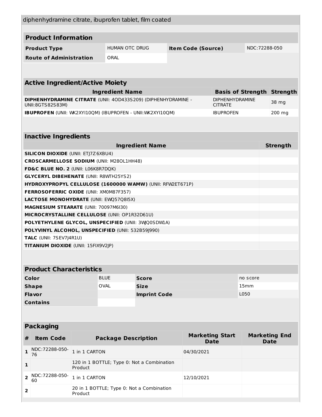| diphenhydramine citrate, ibuprofen tablet, film coated                            |                                                                                 |                                           |                             |  |                                          |                                       |               |                                     |
|-----------------------------------------------------------------------------------|---------------------------------------------------------------------------------|-------------------------------------------|-----------------------------|--|------------------------------------------|---------------------------------------|---------------|-------------------------------------|
|                                                                                   |                                                                                 |                                           |                             |  |                                          |                                       |               |                                     |
| <b>Product Information</b>                                                        |                                                                                 |                                           |                             |  |                                          |                                       |               |                                     |
| <b>Product Type</b>                                                               |                                                                                 | <b>HUMAN OTC DRUG</b>                     |                             |  | <b>Item Code (Source)</b>                |                                       | NDC:72288-050 |                                     |
| <b>Route of Administration</b>                                                    |                                                                                 | ORAL                                      |                             |  |                                          |                                       |               |                                     |
|                                                                                   |                                                                                 |                                           |                             |  |                                          |                                       |               |                                     |
|                                                                                   |                                                                                 |                                           |                             |  |                                          |                                       |               |                                     |
| <b>Active Ingredient/Active Moiety</b>                                            |                                                                                 |                                           |                             |  |                                          |                                       |               |                                     |
| <b>Ingredient Name</b>                                                            |                                                                                 |                                           |                             |  |                                          |                                       |               | <b>Basis of Strength Strength</b>   |
| DIPHENHYDRAMINE CITRATE (UNII: 40D433S209) (DIPHENHYDRAMINE -<br>UNII:8GTS82S83M) |                                                                                 |                                           |                             |  | <b>DIPHENHYDRAMINE</b><br><b>CITRATE</b> |                                       |               | 38 mg                               |
|                                                                                   | IBUPROFEN (UNII: WK2XYI10QM) (IBUPROFEN - UNII: WK2XYI10QM)<br><b>IBUPROFEN</b> |                                           |                             |  |                                          | 200 mg                                |               |                                     |
|                                                                                   |                                                                                 |                                           |                             |  |                                          |                                       |               |                                     |
| <b>Inactive Ingredients</b>                                                       |                                                                                 |                                           |                             |  |                                          |                                       |               |                                     |
|                                                                                   |                                                                                 |                                           | <b>Ingredient Name</b>      |  |                                          |                                       |               | <b>Strength</b>                     |
| <b>SILICON DIOXIDE (UNII: ETJ7Z6XBU4)</b>                                         |                                                                                 |                                           |                             |  |                                          |                                       |               |                                     |
| <b>CROSCARMELLOSE SODIUM (UNII: M280L1HH48)</b>                                   |                                                                                 |                                           |                             |  |                                          |                                       |               |                                     |
|                                                                                   | FD&C BLUE NO. 2 (UNII: L06K8R7DQK)                                              |                                           |                             |  |                                          |                                       |               |                                     |
| <b>GLYCERYL DIBEHENATE (UNII: R8WTH25YS2)</b>                                     |                                                                                 |                                           |                             |  |                                          |                                       |               |                                     |
| HYDROXYPROPYL CELLULOSE (1600000 WAMW) (UNII: RFW2ET671P)                         |                                                                                 |                                           |                             |  |                                          |                                       |               |                                     |
| <b>FERROSOFERRIC OXIDE (UNII: XM0M87F357)</b>                                     |                                                                                 |                                           |                             |  |                                          |                                       |               |                                     |
| LACTOSE MONOHYDRATE (UNII: EWQ57Q8I5X)                                            |                                                                                 |                                           |                             |  |                                          |                                       |               |                                     |
| MAGNESIUM STEARATE (UNII: 70097M6I30)                                             |                                                                                 |                                           |                             |  |                                          |                                       |               |                                     |
| MICROCRYSTALLINE CELLULOSE (UNII: OP1R32D61U)                                     |                                                                                 |                                           |                             |  |                                          |                                       |               |                                     |
| POLYETHYLENE GLYCOL, UNSPECIFIED (UNII: 3WQ0SDW1A)                                |                                                                                 |                                           |                             |  |                                          |                                       |               |                                     |
| POLYVINYL ALCOHOL, UNSPECIFIED (UNII: 532B59J990)                                 |                                                                                 |                                           |                             |  |                                          |                                       |               |                                     |
| <b>TALC</b> (UNII: 7SEV7J4R1U)                                                    |                                                                                 |                                           |                             |  |                                          |                                       |               |                                     |
| TITANIUM DIOXIDE (UNII: 15FIX9V2JP)                                               |                                                                                 |                                           |                             |  |                                          |                                       |               |                                     |
|                                                                                   |                                                                                 |                                           |                             |  |                                          |                                       |               |                                     |
| <b>Product Characteristics</b>                                                    |                                                                                 |                                           |                             |  |                                          |                                       |               |                                     |
| Color                                                                             | <b>BLUE</b><br><b>Score</b><br>no score                                         |                                           |                             |  |                                          |                                       |               |                                     |
| <b>Shape</b>                                                                      |                                                                                 | <b>OVAL</b>                               | <b>Size</b>                 |  |                                          | 15 <sub>mm</sub>                      |               |                                     |
| Flavor                                                                            |                                                                                 |                                           | L050<br><b>Imprint Code</b> |  |                                          |                                       |               |                                     |
| <b>Contains</b>                                                                   |                                                                                 |                                           |                             |  |                                          |                                       |               |                                     |
|                                                                                   |                                                                                 |                                           |                             |  |                                          |                                       |               |                                     |
|                                                                                   |                                                                                 |                                           |                             |  |                                          |                                       |               |                                     |
| <b>Packaging</b>                                                                  |                                                                                 |                                           |                             |  |                                          |                                       |               |                                     |
| <b>Item Code</b><br>#                                                             |                                                                                 | <b>Package Description</b>                |                             |  |                                          | <b>Marketing Start</b><br><b>Date</b> |               | <b>Marketing End</b><br><b>Date</b> |
| NDC: 72288-050-<br>$\mathbf{1}$<br>76                                             |                                                                                 | 1 in 1 CARTON                             |                             |  | 04/30/2021                               |                                       |               |                                     |
| $\mathbf{1}$                                                                      | 120 in 1 BOTTLE; Type 0: Not a Combination<br>Product                           |                                           |                             |  |                                          |                                       |               |                                     |
| NDC:72288-050-<br>2<br>60                                                         |                                                                                 | 1 in 1 CARTON                             |                             |  | 12/10/2021                               |                                       |               |                                     |
| $\overline{\mathbf{2}}$                                                           |                                                                                 | 20 in 1 BOTTLE; Type 0: Not a Combination |                             |  |                                          |                                       |               |                                     |
|                                                                                   | Product                                                                         |                                           |                             |  |                                          |                                       |               |                                     |